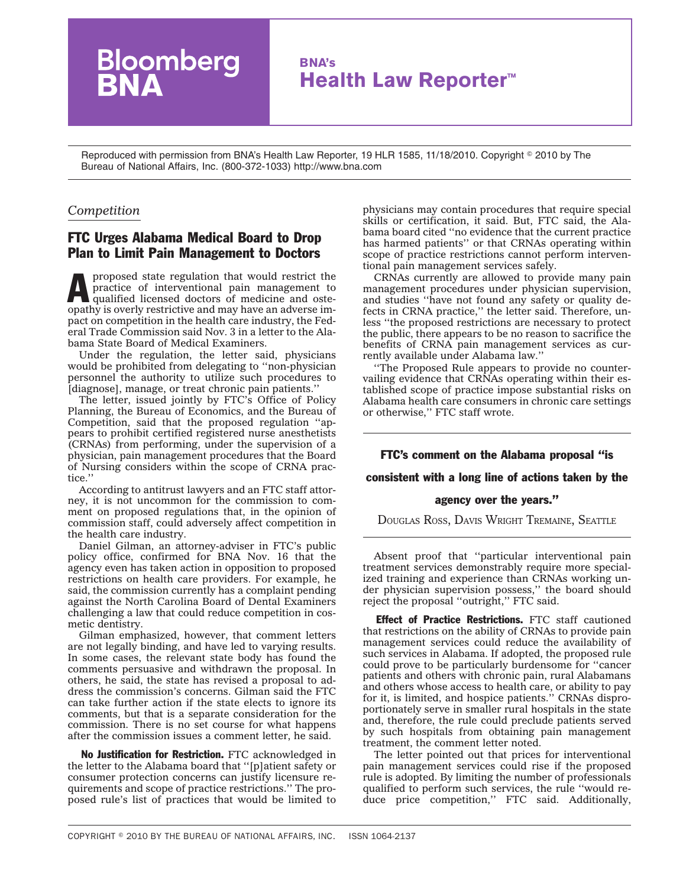# **BNA's Health Law Reporter™**

Reproduced with permission from BNA's Health Law Reporter, 19 HLR 1585, 11/18/2010. Copyright © 2010 by The Bureau of National Affairs, Inc. (800-372-1033) http://www.bna.com

### *Competition*

## FTC Urges Alabama Medical Board to Drop Plan to Limit Pain Management to Doctors

loomberg

proposed state regulation that would restrict the<br>practice of interventional pain management to<br>qualified licensed doctors of medicine and oste-<br>continuis system in the state of movies on the state of practice of interventional pain management to qualified licensed doctors of medicine and osteopathy is overly restrictive and may have an adverse impact on competition in the health care industry, the Federal Trade Commission said Nov. 3 in a letter to the Alabama State Board of Medical Examiners.

Under the regulation, the letter said, physicians would be prohibited from delegating to ''non-physician personnel the authority to utilize such procedures to [diagnose], manage, or treat chronic pain patients.''

The letter, issued jointly by FTC's Office of Policy Planning, the Bureau of Economics, and the Bureau of Competition, said that the proposed regulation ''appears to prohibit certified registered nurse anesthetists (CRNAs) from performing, under the supervision of a physician, pain management procedures that the Board of Nursing considers within the scope of CRNA practice.''

According to antitrust lawyers and an FTC staff attorney, it is not uncommon for the commission to comment on proposed regulations that, in the opinion of commission staff, could adversely affect competition in the health care industry.

Daniel Gilman, an attorney-adviser in FTC's public policy office, confirmed for BNA Nov. 16 that the agency even has taken action in opposition to proposed restrictions on health care providers. For example, he said, the commission currently has a complaint pending against the North Carolina Board of Dental Examiners challenging a law that could reduce competition in cosmetic dentistry.

Gilman emphasized, however, that comment letters are not legally binding, and have led to varying results. In some cases, the relevant state body has found the comments persuasive and withdrawn the proposal. In others, he said, the state has revised a proposal to address the commission's concerns. Gilman said the FTC can take further action if the state elects to ignore its comments, but that is a separate consideration for the commission. There is no set course for what happens after the commission issues a comment letter, he said.

No Justification for Restriction. FTC acknowledged in the letter to the Alabama board that ''[p]atient safety or consumer protection concerns can justify licensure requirements and scope of practice restrictions.'' The proposed rule's list of practices that would be limited to physicians may contain procedures that require special skills or certification, it said. But, FTC said, the Alabama board cited ''no evidence that the current practice has harmed patients'' or that CRNAs operating within scope of practice restrictions cannot perform interventional pain management services safely.

CRNAs currently are allowed to provide many pain management procedures under physician supervision, and studies ''have not found any safety or quality defects in CRNA practice,'' the letter said. Therefore, unless ''the proposed restrictions are necessary to protect the public, there appears to be no reason to sacrifice the benefits of CRNA pain management services as currently available under Alabama law.''

''The Proposed Rule appears to provide no countervailing evidence that CRNAs operating within their established scope of practice impose substantial risks on Alabama health care consumers in chronic care settings or otherwise,'' FTC staff wrote.

# FTC's comment on the Alabama proposal ''is consistent with a long line of actions taken by the

#### agency over the years.''

DOUGLAS ROSS, DAVIS WRIGHT TREMAINE, SEATTLE

Absent proof that ''particular interventional pain treatment services demonstrably require more specialized training and experience than CRNAs working under physician supervision possess,'' the board should reject the proposal ''outright,'' FTC said.

**Effect of Practice Restrictions.** FTC staff cautioned that restrictions on the ability of CRNAs to provide pain management services could reduce the availability of such services in Alabama. If adopted, the proposed rule could prove to be particularly burdensome for ''cancer patients and others with chronic pain, rural Alabamans and others whose access to health care, or ability to pay for it, is limited, and hospice patients.'' CRNAs disproportionately serve in smaller rural hospitals in the state and, therefore, the rule could preclude patients served by such hospitals from obtaining pain management treatment, the comment letter noted.

The letter pointed out that prices for interventional pain management services could rise if the proposed rule is adopted. By limiting the number of professionals qualified to perform such services, the rule ''would reduce price competition,'' FTC said. Additionally,